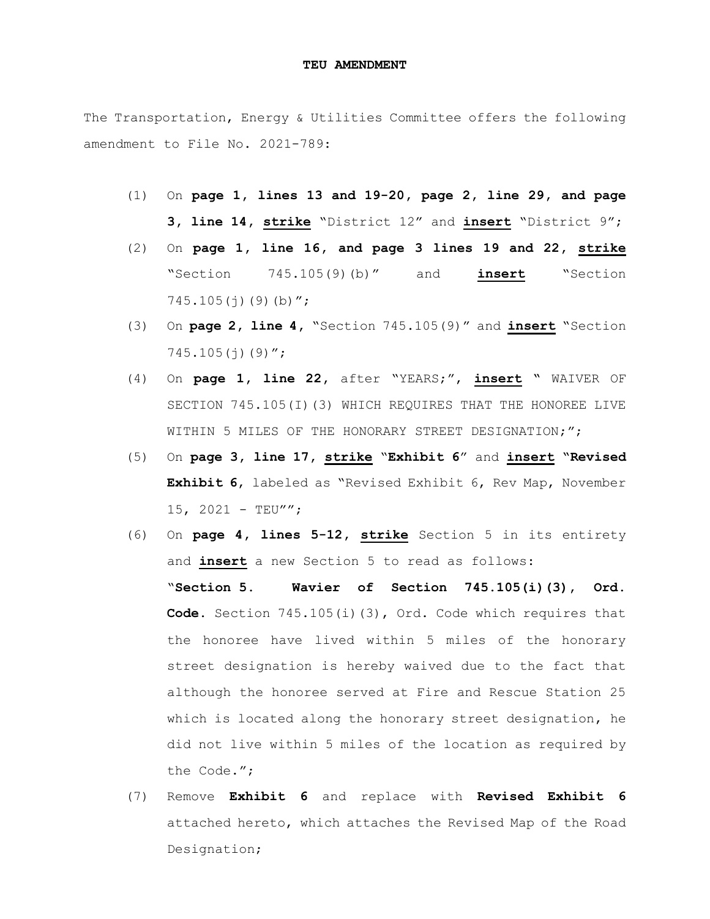The Transportation, Energy & Utilities Committee offers the following amendment to File No. 2021-789:

- (1) On **page 1, lines 13 and 19-20, page 2, line 29, and page 3, line 14, strike** "District 12" and **insert** "District 9";
- (2) On **page 1, line 16, and page 3 lines 19 and 22, strike** "Section 745.105(9)(b)" and **insert** "Section  $745.105(j)(9)(b)$ ";
- (3) On **page 2, line 4,** "Section 745.105(9)" and **insert** "Section  $745.105(i)(9)$ ";
- (4) On **page 1, line 22,** after "YEARS;", **insert "** WAIVER OF SECTION 745.105(I)(3) WHICH REQUIRES THAT THE HONOREE LIVE WITHIN 5 MILES OF THE HONORARY STREET DESIGNATION;";
- (5) On **page 3, line 17, strike** "**Exhibit 6**" and **insert "Revised Exhibit 6**, labeled as "Revised Exhibit 6, Rev Map, November 15, 2021 - TEU"";
- (6) On **page 4, lines 5-12, strike** Section 5 in its entirety and **insert** a new Section 5 to read as follows: "**Section 5. Wavier of Section 745.105(i)(3), Ord. Code.** Section 745.105(i)(3), Ord. Code which requires that the honoree have lived within 5 miles of the honorary street designation is hereby waived due to the fact that although the honoree served at Fire and Rescue Station 25 which is located along the honorary street designation, he did not live within 5 miles of the location as required by the Code.";
- (7) Remove **Exhibit 6** and replace with **Revised Exhibit 6** attached hereto, which attaches the Revised Map of the Road Designation;